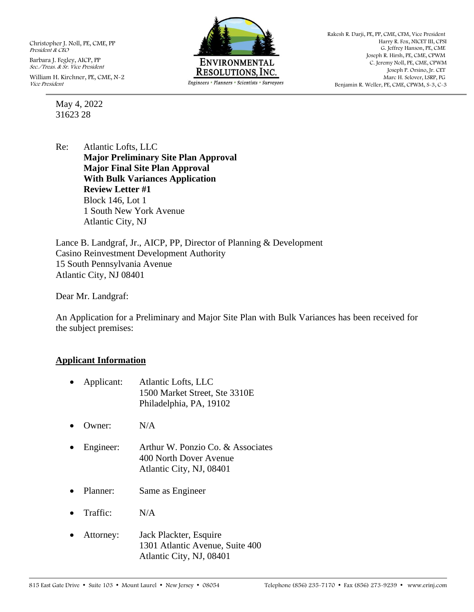Christopher J. Noll, PE, CME, PP President & CEO

Barbara J. Fegley, AICP, PP Sec./Treas. & Sr. Vice President William H. Kirchner, PE, CME, N-2 Vice President

> May 4, 2022 31623 28



Rakesh R. Darji, PE, PP, CME, CFM, Vice President Harry R. Fox, NICET III, CPSI G. Jeffrey Hanson, PE, CME Joseph R. Hirsh, PE, CME, CPWM C. Jeremy Noll, PE, CME, CPWM Joseph P. Orsino, Jr. CET Marc H. Selover, LSRP, PG Benjamin R. Weller, PE, CME, CPWM, S-3, C-3

Re: Atlantic Lofts, LLC **Major Preliminary Site Plan Approval Major Final Site Plan Approval With Bulk Variances Application Review Letter #1** Block 146, Lot 1 1 South New York Avenue Atlantic City, NJ

Lance B. Landgraf, Jr., AICP, PP, Director of Planning & Development Casino Reinvestment Development Authority 15 South Pennsylvania Avenue Atlantic City, NJ 08401

Dear Mr. Landgraf:

An Application for a Preliminary and Major Site Plan with Bulk Variances has been received for the subject premises:

#### **Applicant Information**

|           | Applicant: | Atlantic Lofts, LLC<br>1500 Market Street, Ste 3310E<br>Philadelphia, PA, 19102         |
|-----------|------------|-----------------------------------------------------------------------------------------|
|           | Owner:     | N/A                                                                                     |
|           | Engineer:  | Arthur W. Ponzio Co. & Associates<br>400 North Dover Avenue<br>Atlantic City, NJ, 08401 |
| $\bullet$ | Planner:   | Same as Engineer                                                                        |
|           | Traffic:   | N/A                                                                                     |
|           | Attorney:  | Jack Plackter, Esquire<br>1301 Atlantic Avenue, Suite 400                               |

Atlantic City, NJ, 08401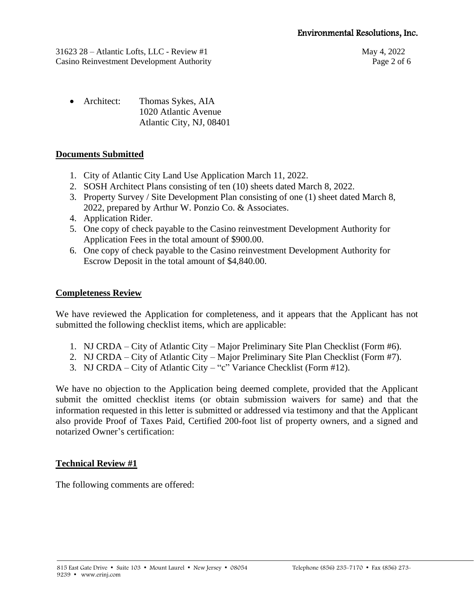31623 28 – Atlantic Lofts, LLC - Review #1 May 4, 2022 Casino Reinvestment Development Authority Page 2 of 6

• Architect: Thomas Sykes, AIA 1020 Atlantic Avenue Atlantic City, NJ, 08401

# **Documents Submitted**

- 1. City of Atlantic City Land Use Application March 11, 2022.
- 2. SOSH Architect Plans consisting of ten (10) sheets dated March 8, 2022.
- 3. Property Survey / Site Development Plan consisting of one (1) sheet dated March 8, 2022, prepared by Arthur W. Ponzio Co. & Associates.
- 4. Application Rider.
- 5. One copy of check payable to the Casino reinvestment Development Authority for Application Fees in the total amount of \$900.00.
- 6. One copy of check payable to the Casino reinvestment Development Authority for Escrow Deposit in the total amount of \$4,840.00.

# **Completeness Review**

We have reviewed the Application for completeness, and it appears that the Applicant has not submitted the following checklist items, which are applicable:

- 1. NJ CRDA City of Atlantic City Major Preliminary Site Plan Checklist (Form #6).
- 2. NJ CRDA City of Atlantic City Major Preliminary Site Plan Checklist (Form #7).
- 3. NJ CRDA City of Atlantic City "c" Variance Checklist (Form #12).

We have no objection to the Application being deemed complete, provided that the Applicant submit the omitted checklist items (or obtain submission waivers for same) and that the information requested in this letter is submitted or addressed via testimony and that the Applicant also provide Proof of Taxes Paid, Certified 200-foot list of property owners, and a signed and notarized Owner's certification:

### **Technical Review #1**

The following comments are offered: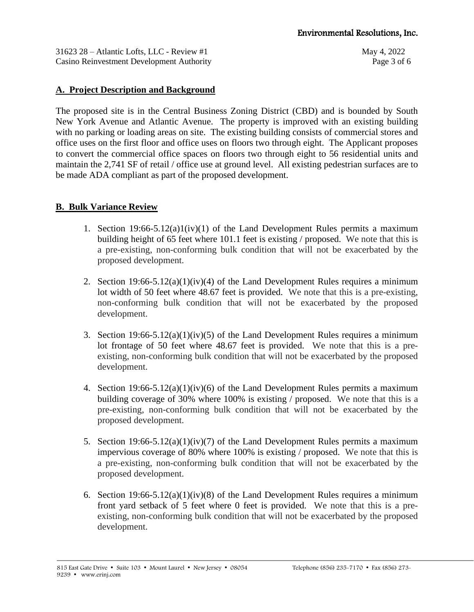31623 28 – Atlantic Lofts, LLC - Review #1 May 4, 2022 Casino Reinvestment Development Authority Page 3 of 6

### **A. Project Description and Background**

The proposed site is in the Central Business Zoning District (CBD) and is bounded by South New York Avenue and Atlantic Avenue. The property is improved with an existing building with no parking or loading areas on site. The existing building consists of commercial stores and office uses on the first floor and office uses on floors two through eight. The Applicant proposes to convert the commercial office spaces on floors two through eight to 56 residential units and maintain the 2,741 SF of retail / office use at ground level. All existing pedestrian surfaces are to be made ADA compliant as part of the proposed development.

### **B. Bulk Variance Review**

- 1. Section  $19:66-5.12(a)1(iv)(1)$  of the Land Development Rules permits a maximum building height of 65 feet where 101.1 feet is existing / proposed. We note that this is a pre-existing, non-conforming bulk condition that will not be exacerbated by the proposed development.
- 2. Section  $19:66-5.12(a)(1)(iv)(4)$  of the Land Development Rules requires a minimum lot width of 50 feet where 48.67 feet is provided. We note that this is a pre-existing, non-conforming bulk condition that will not be exacerbated by the proposed development.
- 3. Section  $19:66-5.12(a)(1)(iv)(5)$  of the Land Development Rules requires a minimum lot frontage of 50 feet where 48.67 feet is provided. We note that this is a preexisting, non-conforming bulk condition that will not be exacerbated by the proposed development.
- 4. Section  $19:66-5.12(a)(1)(iv)(6)$  of the Land Development Rules permits a maximum building coverage of 30% where 100% is existing / proposed. We note that this is a pre-existing, non-conforming bulk condition that will not be exacerbated by the proposed development.
- 5. Section 19:66-5.12(a)(1)(iv)(7) of the Land Development Rules permits a maximum impervious coverage of 80% where 100% is existing / proposed. We note that this is a pre-existing, non-conforming bulk condition that will not be exacerbated by the proposed development.
- 6. Section  $19:66-5.12(a)(1)(iv)(8)$  of the Land Development Rules requires a minimum front yard setback of 5 feet where 0 feet is provided. We note that this is a preexisting, non-conforming bulk condition that will not be exacerbated by the proposed development.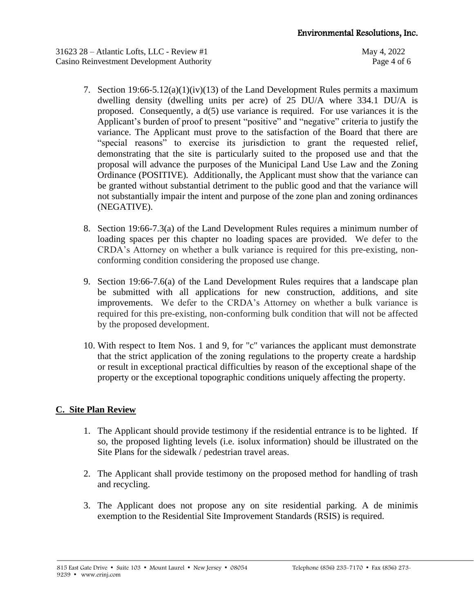31623 28 – Atlantic Lofts, LLC - Review #1 May 4, 2022 Casino Reinvestment Development Authority Page 4 of 6

- 7. Section 19:66-5.12(a)(1)(iv)(13) of the Land Development Rules permits a maximum dwelling density (dwelling units per acre) of 25 DU/A where 334.1 DU/A is proposed. Consequently, a d(5) use variance is required. For use variances it is the Applicant's burden of proof to present "positive" and "negative" criteria to justify the variance. The Applicant must prove to the satisfaction of the Board that there are "special reasons" to exercise its jurisdiction to grant the requested relief, demonstrating that the site is particularly suited to the proposed use and that the proposal will advance the purposes of the Municipal Land Use Law and the Zoning Ordinance (POSITIVE). Additionally, the Applicant must show that the variance can be granted without substantial detriment to the public good and that the variance will not substantially impair the intent and purpose of the zone plan and zoning ordinances (NEGATIVE).
- 8. Section 19:66-7.3(a) of the Land Development Rules requires a minimum number of loading spaces per this chapter no loading spaces are provided. We defer to the CRDA's Attorney on whether a bulk variance is required for this pre-existing, nonconforming condition considering the proposed use change.
- 9. Section 19:66-7.6(a) of the Land Development Rules requires that a landscape plan be submitted with all applications for new construction, additions, and site improvements. We defer to the CRDA's Attorney on whether a bulk variance is required for this pre-existing, non-conforming bulk condition that will not be affected by the proposed development.
- 10. With respect to Item Nos. 1 and 9, for "c" variances the applicant must demonstrate that the strict application of the zoning regulations to the property create a hardship or result in exceptional practical difficulties by reason of the exceptional shape of the property or the exceptional topographic conditions uniquely affecting the property.

### **C. Site Plan Review**

- 1. The Applicant should provide testimony if the residential entrance is to be lighted. If so, the proposed lighting levels (i.e. isolux information) should be illustrated on the Site Plans for the sidewalk / pedestrian travel areas.
- 2. The Applicant shall provide testimony on the proposed method for handling of trash and recycling.
- 3. The Applicant does not propose any on site residential parking. A de minimis exemption to the Residential Site Improvement Standards (RSIS) is required.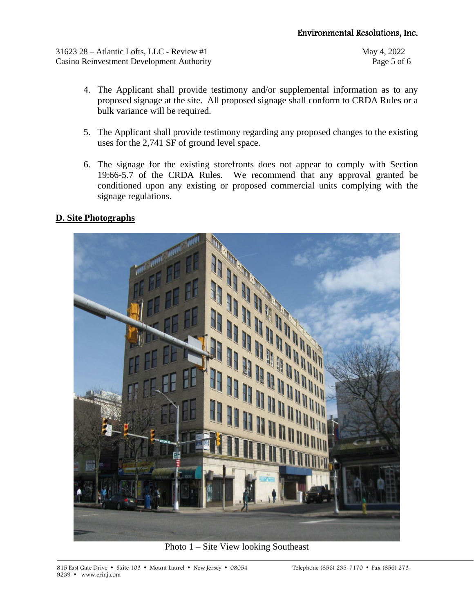31623 28 – Atlantic Lofts, LLC - Review #1 May 4, 2022 Casino Reinvestment Development Authority Page 5 of 6

- 4. The Applicant shall provide testimony and/or supplemental information as to any proposed signage at the site. All proposed signage shall conform to CRDA Rules or a bulk variance will be required.
- 5. The Applicant shall provide testimony regarding any proposed changes to the existing uses for the 2,741 SF of ground level space.
- 6. The signage for the existing storefronts does not appear to comply with Section 19:66-5.7 of the CRDA Rules. We recommend that any approval granted be conditioned upon any existing or proposed commercial units complying with the signage regulations.

### **D. Site Photographs**



Photo 1 – Site View looking Southeast